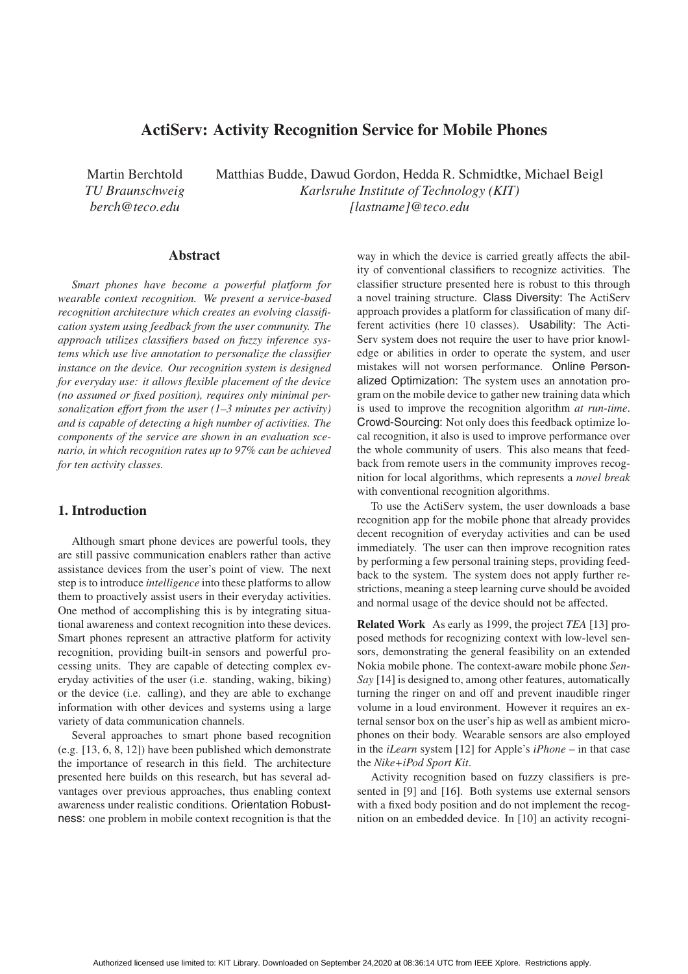# **ActiServ: Activity Recognition Service for Mobile Phones**

Martin Berchtold *TU Braunschweig berch@teco.edu*

Matthias Budde, Dawud Gordon, Hedda R. Schmidtke, Michael Beigl *Karlsruhe Institute of Technology (KIT) [lastname]@teco.edu*

#### **Abstract**

*Smart phones have become a powerful platform for wearable context recognition. We present a service-based recognition architecture which creates an evolving classification system using feedback from the user community. The approach utilizes classifiers based on fuzzy inference systems which use live annotation to personalize the classifier instance on the device. Our recognition system is designed for everyday use: it allows flexible placement of the device (no assumed or fixed position), requires only minimal personalization effort from the user (1–3 minutes per activity) and is capable of detecting a high number of activities. The components of the service are shown in an evaluation scenario, in which recognition rates up to 97% can be achieved for ten activity classes.*

### **1. Introduction**

Although smart phone devices are powerful tools, they are still passive communication enablers rather than active assistance devices from the user's point of view. The next step is to introduce *intelligence* into these platforms to allow them to proactively assist users in their everyday activities. One method of accomplishing this is by integrating situational awareness and context recognition into these devices. Smart phones represent an attractive platform for activity recognition, providing built-in sensors and powerful processing units. They are capable of detecting complex everyday activities of the user (i.e. standing, waking, biking) or the device (i.e. calling), and they are able to exchange information with other devices and systems using a large variety of data communication channels.

Several approaches to smart phone based recognition (e.g. [13, 6, 8, 12]) have been published which demonstrate the importance of research in this field. The architecture presented here builds on this research, but has several advantages over previous approaches, thus enabling context awareness under realistic conditions. Orientation Robustness: one problem in mobile context recognition is that the way in which the device is carried greatly affects the ability of conventional classifiers to recognize activities. The classifier structure presented here is robust to this through a novel training structure. Class Diversity: The ActiServ approach provides a platform for classification of many different activities (here 10 classes). Usability: The Acti-Serv system does not require the user to have prior knowledge or abilities in order to operate the system, and user mistakes will not worsen performance. Online Personalized Optimization: The system uses an annotation program on the mobile device to gather new training data which is used to improve the recognition algorithm *at run-time*. Crowd-Sourcing: Not only does this feedback optimize local recognition, it also is used to improve performance over the whole community of users. This also means that feedback from remote users in the community improves recognition for local algorithms, which represents a *novel break* with conventional recognition algorithms.

To use the ActiServ system, the user downloads a base recognition app for the mobile phone that already provides decent recognition of everyday activities and can be used immediately. The user can then improve recognition rates by performing a few personal training steps, providing feedback to the system. The system does not apply further restrictions, meaning a steep learning curve should be avoided and normal usage of the device should not be affected.

**Related Work** As early as 1999, the project *TEA* [13] proposed methods for recognizing context with low-level sensors, demonstrating the general feasibility on an extended Nokia mobile phone. The context-aware mobile phone *Sen-Say* [14] is designed to, among other features, automatically turning the ringer on and off and prevent inaudible ringer volume in a loud environment. However it requires an external sensor box on the user's hip as well as ambient microphones on their body. Wearable sensors are also employed in the *iLearn* system [12] for Apple's *iPhone* – in that case the *Nike+iPod Sport Kit*.

Activity recognition based on fuzzy classifiers is presented in [9] and [16]. Both systems use external sensors with a fixed body position and do not implement the recognition on an embedded device. In [10] an activity recogni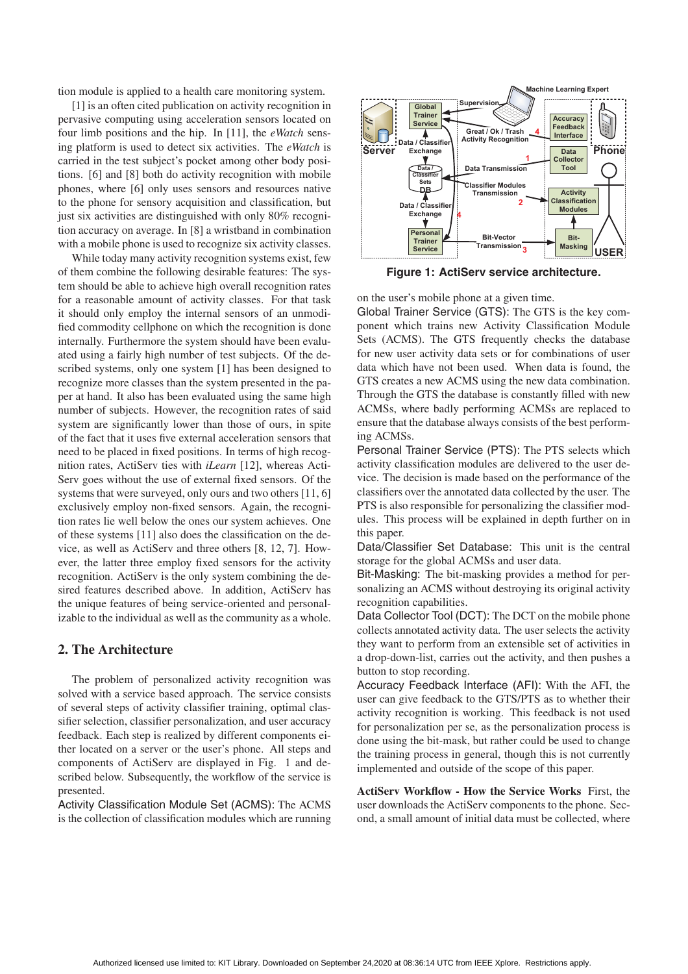tion module is applied to a health care monitoring system.

[1] is an often cited publication on activity recognition in pervasive computing using acceleration sensors located on four limb positions and the hip. In [11], the *eWatch* sensing platform is used to detect six activities. The *eWatch* is carried in the test subject's pocket among other body positions. [6] and [8] both do activity recognition with mobile phones, where [6] only uses sensors and resources native to the phone for sensory acquisition and classification, but just six activities are distinguished with only 80% recognition accuracy on average. In [8] a wristband in combination with a mobile phone is used to recognize six activity classes.

While today many activity recognition systems exist, few of them combine the following desirable features: The system should be able to achieve high overall recognition rates for a reasonable amount of activity classes. For that task it should only employ the internal sensors of an unmodified commodity cellphone on which the recognition is done internally. Furthermore the system should have been evaluated using a fairly high number of test subjects. Of the described systems, only one system [1] has been designed to recognize more classes than the system presented in the paper at hand. It also has been evaluated using the same high number of subjects. However, the recognition rates of said system are significantly lower than those of ours, in spite of the fact that it uses five external acceleration sensors that need to be placed in fixed positions. In terms of high recognition rates, ActiServ ties with *iLearn* [12], whereas Acti-Serv goes without the use of external fixed sensors. Of the systems that were surveyed, only ours and two others [11, 6] exclusively employ non-fixed sensors. Again, the recognition rates lie well below the ones our system achieves. One of these systems [11] also does the classification on the device, as well as ActiServ and three others [8, 12, 7]. However, the latter three employ fixed sensors for the activity recognition. ActiServ is the only system combining the desired features described above. In addition, ActiServ has the unique features of being service-oriented and personalizable to the individual as well as the community as a whole.

## **2. The Architecture**

The problem of personalized activity recognition was solved with a service based approach. The service consists of several steps of activity classifier training, optimal classifier selection, classifier personalization, and user accuracy feedback. Each step is realized by different components either located on a server or the user's phone. All steps and components of ActiServ are displayed in Fig. 1 and described below. Subsequently, the workflow of the service is presented.

Activity Classification Module Set (ACMS): The ACMS is the collection of classification modules which are running



**Figure 1: ActiServ service architecture.**

on the user's mobile phone at a given time.

Global Trainer Service (GTS): The GTS is the key component which trains new Activity Classification Module Sets (ACMS). The GTS frequently checks the database for new user activity data sets or for combinations of user data which have not been used. When data is found, the GTS creates a new ACMS using the new data combination. Through the GTS the database is constantly filled with new ACMSs, where badly performing ACMSs are replaced to ensure that the database always consists of the best performing ACMSs.

Personal Trainer Service (PTS): The PTS selects which activity classification modules are delivered to the user device. The decision is made based on the performance of the classifiers over the annotated data collected by the user. The PTS is also responsible for personalizing the classifier modules. This process will be explained in depth further on in this paper.

Data/Classifier Set Database: This unit is the central storage for the global ACMSs and user data.

Bit-Masking: The bit-masking provides a method for personalizing an ACMS without destroying its original activity recognition capabilities.

Data Collector Tool (DCT): The DCT on the mobile phone collects annotated activity data. The user selects the activity they want to perform from an extensible set of activities in a drop-down-list, carries out the activity, and then pushes a button to stop recording.

Accuracy Feedback Interface (AFI): With the AFI, the user can give feedback to the GTS/PTS as to whether their activity recognition is working. This feedback is not used for personalization per se, as the personalization process is done using the bit-mask, but rather could be used to change the training process in general, though this is not currently implemented and outside of the scope of this paper.

**ActiServ Workflow - How the Service Works** First, the user downloads the ActiServ components to the phone. Second, a small amount of initial data must be collected, where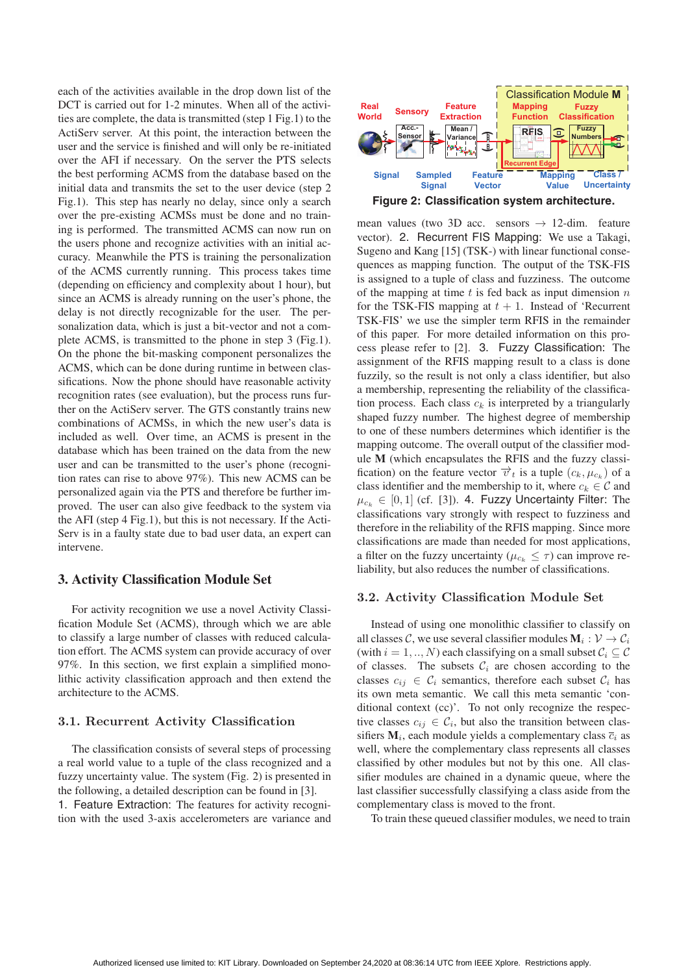each of the activities available in the drop down list of the DCT is carried out for 1-2 minutes. When all of the activities are complete, the data is transmitted (step 1 Fig.1) to the ActiServ server. At this point, the interaction between the user and the service is finished and will only be re-initiated over the AFI if necessary. On the server the PTS selects the best performing ACMS from the database based on the initial data and transmits the set to the user device (step 2 Fig.1). This step has nearly no delay, since only a search over the pre-existing ACMSs must be done and no training is performed. The transmitted ACMS can now run on the users phone and recognize activities with an initial accuracy. Meanwhile the PTS is training the personalization of the ACMS currently running. This process takes time (depending on efficiency and complexity about 1 hour), but since an ACMS is already running on the user's phone, the delay is not directly recognizable for the user. The personalization data, which is just a bit-vector and not a complete ACMS, is transmitted to the phone in step 3 (Fig.1). On the phone the bit-masking component personalizes the ACMS, which can be done during runtime in between classifications. Now the phone should have reasonable activity recognition rates (see evaluation), but the process runs further on the ActiServ server. The GTS constantly trains new combinations of ACMSs, in which the new user's data is included as well. Over time, an ACMS is present in the database which has been trained on the data from the new user and can be transmitted to the user's phone (recognition rates can rise to above 97%). This new ACMS can be personalized again via the PTS and therefore be further improved. The user can also give feedback to the system via the AFI (step 4 Fig.1), but this is not necessary. If the Acti-Serv is in a faulty state due to bad user data, an expert can intervene.

#### **3. Activity Classification Module Set**

For activity recognition we use a novel Activity Classification Module Set (ACMS), through which we are able to classify a large number of classes with reduced calculation effort. The ACMS system can provide accuracy of over 97%. In this section, we first explain a simplified monolithic activity classification approach and then extend the architecture to the ACMS.

#### **3.1. Recurrent Activity Classification**

The classification consists of several steps of processing a real world value to a tuple of the class recognized and a fuzzy uncertainty value. The system (Fig. 2) is presented in the following, a detailed description can be found in [3]. 1. Feature Extraction: The features for activity recognition with the used 3-axis accelerometers are variance and



**Figure 2: Classification system architecture.**

mean values (two 3D acc. sensors  $\rightarrow$  12-dim. feature vector). 2. Recurrent FIS Mapping: We use a Takagi, Sugeno and Kang [15] (TSK-) with linear functional consequences as mapping function. The output of the TSK-FIS is assigned to a tuple of class and fuzziness. The outcome of the mapping at time  $t$  is fed back as input dimension  $n$ for the TSK-FIS mapping at  $t + 1$ . Instead of 'Recurrent TSK-FIS' we use the simpler term RFIS in the remainder of this paper. For more detailed information on this process please refer to [2]. 3. Fuzzy Classification: The assignment of the RFIS mapping result to a class is done fuzzily, so the result is not only a class identifier, but also a membership, representing the reliability of the classification process. Each class  $c_k$  is interpreted by a triangularly shaped fuzzy number. The highest degree of membership to one of these numbers determines which identifier is the mapping outcome. The overall output of the classifier module **M** (which encapsulates the RFIS and the fuzzy classification) on the feature vector  $\vec{v}_t$  is a tuple  $(c_k, \mu_{c_k})$  of a class identifier and the membership to it, where  $c_k \in \mathcal{C}$  and  $\mu_{c_k} \in [0, 1]$  (cf. [3]). 4. Fuzzy Uncertainty Filter: The classifications vary strongly with respect to fuzziness and therefore in the reliability of the RFIS mapping. Since more classifications are made than needed for most applications, a filter on the fuzzy uncertainty ( $\mu_{c_k} \leq \tau$ ) can improve reliability, but also reduces the number of classifications.

#### **3.2. Activity Classification Module Set**

Instead of using one monolithic classifier to classify on all classes C, we use several classifier modules  $M_i : \mathcal{V} \to \mathcal{C}_i$ (with  $i = 1, ..., N$ ) each classifying on a small subset  $C_i \subseteq C$ of classes. The subsets  $C_i$  are chosen according to the classes  $c_{ij} \in \mathcal{C}_i$  semantics, therefore each subset  $\mathcal{C}_i$  has its own meta semantic. We call this meta semantic 'conditional context (cc)'. To not only recognize the respective classes  $c_{ij} \in C_i$ , but also the transition between classifiers  $M_i$ , each module yields a complementary class  $\overline{c}_i$  as well, where the complementary class represents all classes classified by other modules but not by this one. All classifier modules are chained in a dynamic queue, where the last classifier successfully classifying a class aside from the complementary class is moved to the front.

To train these queued classifier modules, we need to train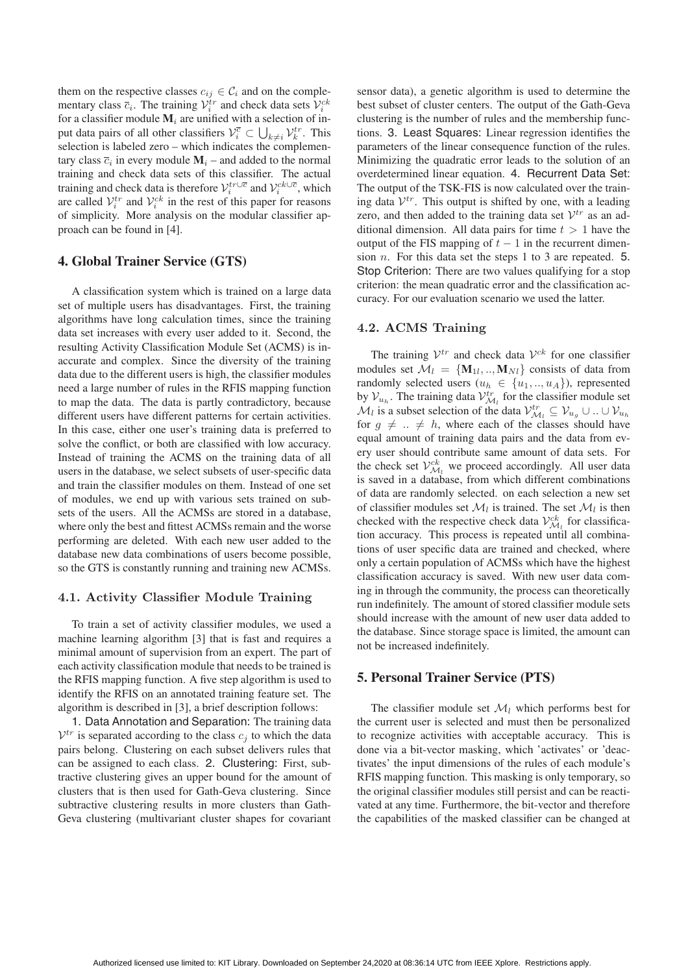them on the respective classes  $c_{ij} \in C_i$  and on the complementary class  $\overline{c}_i$ . The training  $\mathcal{V}_i^{tr}$  and check data sets  $\mathcal{V}_i^{ck}$ for a classifier module  $M_i$  are unified with a selection of input data pairs of all other classifiers  $V_i^{\overline{c}} \subset \bigcup_{k \neq i} \mathcal{V}_k^{tr}$ . This selection is labeled zero – which indicates the complementary class  $\overline{c}_i$  in every module  $\mathbf{M}_i$  – and added to the normal training and check data sets of this classifier. The actual training and check data is therefore  $\mathcal{V}_i^{tr \cup \overline{c}}$  and  $\mathcal{V}_i^{ck \cup \overline{c}}$ , which are called  $V_i^{tr}$  and  $V_i^{ck}$  in the rest of this paper for reasons of simplicity. More analysis on the modular classifier approach can be found in [4].

### **4. Global Trainer Service (GTS)**

A classification system which is trained on a large data set of multiple users has disadvantages. First, the training algorithms have long calculation times, since the training data set increases with every user added to it. Second, the resulting Activity Classification Module Set (ACMS) is inaccurate and complex. Since the diversity of the training data due to the different users is high, the classifier modules need a large number of rules in the RFIS mapping function to map the data. The data is partly contradictory, because different users have different patterns for certain activities. In this case, either one user's training data is preferred to solve the conflict, or both are classified with low accuracy. Instead of training the ACMS on the training data of all users in the database, we select subsets of user-specific data and train the classifier modules on them. Instead of one set of modules, we end up with various sets trained on subsets of the users. All the ACMSs are stored in a database, where only the best and fittest ACMSs remain and the worse performing are deleted. With each new user added to the database new data combinations of users become possible, so the GTS is constantly running and training new ACMSs.

#### **4.1. Activity Classifier Module Training**

To train a set of activity classifier modules, we used a machine learning algorithm [3] that is fast and requires a minimal amount of supervision from an expert. The part of each activity classification module that needs to be trained is the RFIS mapping function. A five step algorithm is used to identify the RFIS on an annotated training feature set. The algorithm is described in [3], a brief description follows:

1. Data Annotation and Separation: The training data  $V^{tr}$  is separated according to the class  $c_j$  to which the data pairs belong. Clustering on each subset delivers rules that can be assigned to each class. 2. Clustering: First, subtractive clustering gives an upper bound for the amount of clusters that is then used for Gath-Geva clustering. Since subtractive clustering results in more clusters than Gath-Geva clustering (multivariant cluster shapes for covariant sensor data), a genetic algorithm is used to determine the best subset of cluster centers. The output of the Gath-Geva clustering is the number of rules and the membership functions. 3. Least Squares: Linear regression identifies the parameters of the linear consequence function of the rules. Minimizing the quadratic error leads to the solution of an overdetermined linear equation. 4. Recurrent Data Set: The output of the TSK-FIS is now calculated over the training data  $V^{tr}$ . This output is shifted by one, with a leading zero, and then added to the training data set  $V^{tr}$  as an additional dimension. All data pairs for time  $t > 1$  have the output of the FIS mapping of  $t - 1$  in the recurrent dimension  $n$ . For this data set the steps 1 to 3 are repeated. 5. Stop Criterion: There are two values qualifying for a stop criterion: the mean quadratic error and the classification accuracy. For our evaluation scenario we used the latter.

#### **4.2. ACMS Training**

The training  $V^{tr}$  and check data  $V^{ck}$  for one classifier modules set  $\mathcal{M}_l = \{M_{1l},..,M_{Nl}\}\)$  consists of data from randomly selected users  $(u_h \in \{u_1, \ldots, u_A\})$ , represented by  $V_{u_h}$ . The training data  $V_{\mathcal{M}_l}^{tr}$  for the classifier module set  $\mathcal{M}_l$  is a subset selection of the data  $\mathcal{V}_{\mathcal{M}_l}^{tr} \subseteq \mathcal{V}_{u_g} \cup ... \cup \mathcal{V}_{u_h}$ for  $g \neq a$ .  $\neq h$ , where each of the classes should have equal amount of training data pairs and the data from every user should contribute same amount of data sets. For the check set  $V^{ck}_{\mathcal{M}_l}$  we proceed accordingly. All user data is saved in a database, from which different combinations of data are randomly selected. on each selection a new set of classifier modules set  $\mathcal{M}_l$  is trained. The set  $\mathcal{M}_l$  is then checked with the respective check data  $V_{\mathcal{M}_l}^{ck}$  for classification accuracy. This process is repeated until all combinations of user specific data are trained and checked, where only a certain population of ACMSs which have the highest classification accuracy is saved. With new user data coming in through the community, the process can theoretically run indefinitely. The amount of stored classifier module sets should increase with the amount of new user data added to the database. Since storage space is limited, the amount can not be increased indefinitely.

### **5. Personal Trainer Service (PTS)**

The classifier module set  $\mathcal{M}_l$  which performs best for the current user is selected and must then be personalized to recognize activities with acceptable accuracy. This is done via a bit-vector masking, which 'activates' or 'deactivates' the input dimensions of the rules of each module's RFIS mapping function. This masking is only temporary, so the original classifier modules still persist and can be reactivated at any time. Furthermore, the bit-vector and therefore the capabilities of the masked classifier can be changed at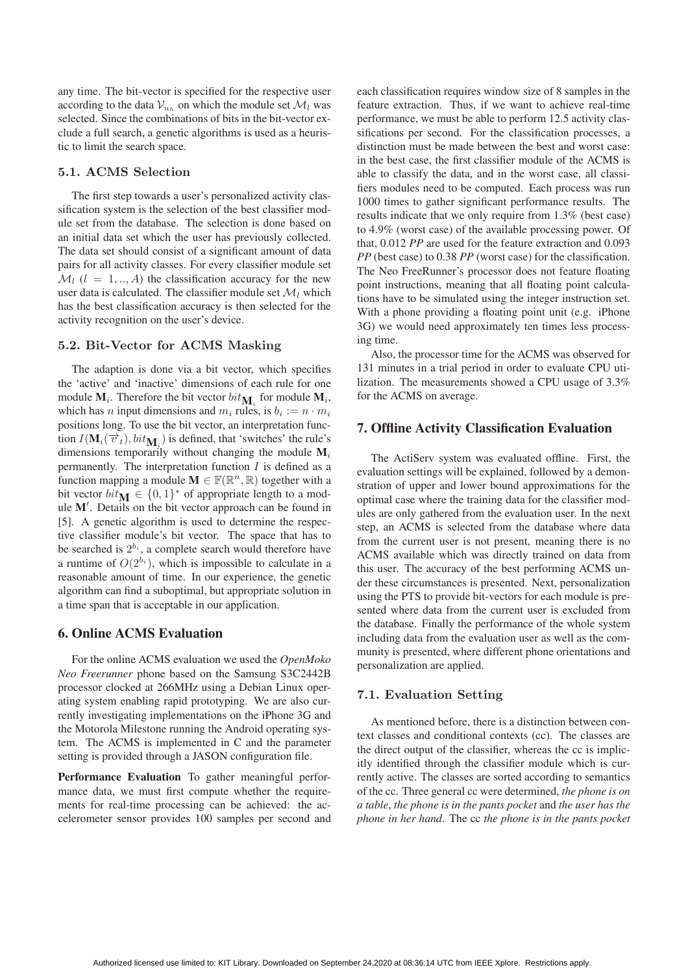any time. The bit-vector is specified for the respective user according to the data  $V_{u_h}$  on which the module set  $\mathcal{M}_l$  was selected. Since the combinations of bits in the bit-vector exclude a full search, a genetic algorithms is used as a heuristic to limit the search space.

### **5.1. ACMS Selection**

The first step towards a user's personalized activity classification system is the selection of the best classifier module set from the database. The selection is done based on an initial data set which the user has previously collected. The data set should consist of a significant amount of data pairs for all activity classes. For every classifier module set  $\mathcal{M}_l$  ( $l = 1, ..., A$ ) the classification accuracy for the new user data is calculated. The classifier module set  $\mathcal{M}_l$  which has the best classification accuracy is then selected for the activity recognition on the user's device.

#### **5.2. Bit-Vector for ACMS Masking**

The adaption is done via a bit vector, which specifies the 'active' and 'inactive' dimensions of each rule for one module  $M_i$ . Therefore the bit vector  $bit_{\mathbf{M}_i}$  for module  $M_i$ , which has *n* input dimensions and  $m_i$  rules, is  $b_i := n \cdot m_i$ positions long. To use the bit vector, an interpretation function  $I(\mathbf{M}_i(\vec{v}_t), bit_{\mathbf{M}_i})$  is defined, that 'switches' the rule's dimensions temporarily without changing the module  $M_i$ permanently. The interpretation function  $I$  is defined as a function mapping a module  $\mathbf{M} \in \mathbb{F}(\mathbb{R}^n, \mathbb{R})$  together with a bit vector  $bit_{\mathbf{M}} \in \{0,1\}^*$  of appropriate length to a module **M**′ . Details on the bit vector approach can be found in [5]. A genetic algorithm is used to determine the respective classifier module's bit vector. The space that has to be searched is  $2^{b_i}$ , a complete search would therefore have a runtime of  $O(2^{b_i})$ , which is impossible to calculate in a reasonable amount of time. In our experience, the genetic algorithm can find a suboptimal, but appropriate solution in a time span that is acceptable in our application.

# **6. Online ACMS Evaluation**

For the online ACMS evaluation we used the *OpenMoko Neo Freerunner* phone based on the Samsung S3C2442B processor clocked at 266MHz using a Debian Linux operating system enabling rapid prototyping. We are also currently investigating implementations on the iPhone 3G and the Motorola Milestone running the Android operating system. The ACMS is implemented in C and the parameter setting is provided through a JASON configuration file.

**Performance Evaluation** To gather meaningful performance data, we must first compute whether the requirements for real-time processing can be achieved: the accelerometer sensor provides 100 samples per second and each classification requires window size of 8 samples in the feature extraction. Thus, if we want to achieve real-time performance, we must be able to perform 12.5 activity classifications per second. For the classification processes, a distinction must be made between the best and worst case: in the best case, the first classifier module of the ACMS is able to classify the data, and in the worst case, all classifiers modules need to be computed. Each process was run 1000 times to gather significant performance results. The results indicate that we only require from 1.3% (best case) to 4.9% (worst case) of the available processing power. Of that, 0.012 *PP* are used for the feature extraction and 0.093 *PP* (best case) to 0.38 *PP* (worst case) for the classification. The Neo FreeRunner's processor does not feature floating point instructions, meaning that all floating point calculations have to be simulated using the integer instruction set. With a phone providing a floating point unit (e.g. iPhone 3G) we would need approximately ten times less processing time.

Also, the processor time for the ACMS was observed for 131 minutes in a trial period in order to evaluate CPU utilization. The measurements showed a CPU usage of 3.3% for the ACMS on average.

#### **7. Offline Activity Classification Evaluation**

The ActiServ system was evaluated offline. First, the evaluation settings will be explained, followed by a demonstration of upper and lower bound approximations for the optimal case where the training data for the classifier modules are only gathered from the evaluation user. In the next step, an ACMS is selected from the database where data from the current user is not present, meaning there is no ACMS available which was directly trained on data from this user. The accuracy of the best performing ACMS under these circumstances is presented. Next, personalization using the PTS to provide bit-vectors for each module is presented where data from the current user is excluded from the database. Finally the performance of the whole system including data from the evaluation user as well as the community is presented, where different phone orientations and personalization are applied.

#### **7.1. Evaluation Setting**

As mentioned before, there is a distinction between context classes and conditional contexts (cc). The classes are the direct output of the classifier, whereas the cc is implicitly identified through the classifier module which is currently active. The classes are sorted according to semantics of the cc. Three general cc were determined, *the phone is on a table*, *the phone is in the pants pocket* and *the user has the phone in her hand*. The cc *the phone is in the pants pocket*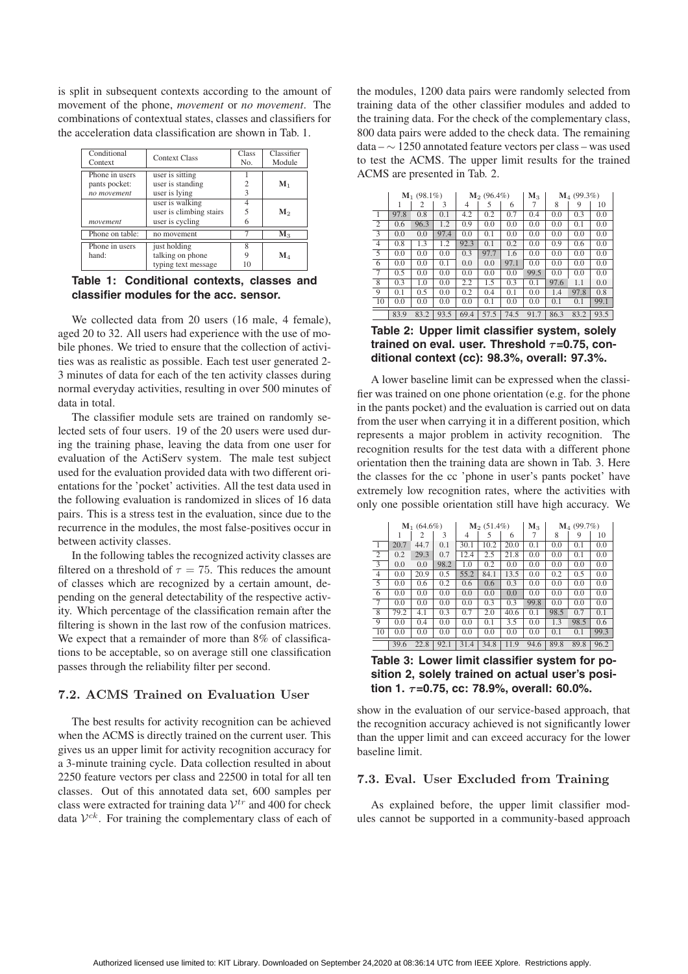is split in subsequent contexts according to the amount of movement of the phone, *movement* or *no movement*. The combinations of contextual states, classes and classifiers for the acceleration data classification are shown in Tab. 1.

| Conditional     | <b>Context Class</b>    | Class | Classifier     |
|-----------------|-------------------------|-------|----------------|
| Context         |                         | No.   | Module         |
| Phone in users  | user is sitting         |       |                |
| pants pocket:   | user is standing        | 2     | $M_1$          |
| no movement     | user is lying           | 3     |                |
|                 | user is walking         | 4     |                |
|                 | user is climbing stairs |       | $M_{2}$        |
| movement        | user is cycling         | 6     |                |
| Phone on table: | no movement             | 7     | $M_{\odot}$    |
| Phone in users  | just holding            | 8     |                |
| hand:           | talking on phone        | 9     | $\mathbf{M}_4$ |
|                 | typing text message     | 10    |                |

**Table 1: Conditional contexts, classes and classifier modules for the acc. sensor.**

We collected data from 20 users (16 male, 4 female), aged 20 to 32. All users had experience with the use of mobile phones. We tried to ensure that the collection of activities was as realistic as possible. Each test user generated 2- 3 minutes of data for each of the ten activity classes during normal everyday activities, resulting in over 500 minutes of data in total.

The classifier module sets are trained on randomly selected sets of four users. 19 of the 20 users were used during the training phase, leaving the data from one user for evaluation of the ActiServ system. The male test subject used for the evaluation provided data with two different orientations for the 'pocket' activities. All the test data used in the following evaluation is randomized in slices of 16 data pairs. This is a stress test in the evaluation, since due to the recurrence in the modules, the most false-positives occur in between activity classes.

In the following tables the recognized activity classes are filtered on a threshold of  $\tau = 75$ . This reduces the amount of classes which are recognized by a certain amount, depending on the general detectability of the respective activity. Which percentage of the classification remain after the filtering is shown in the last row of the confusion matrices. We expect that a remainder of more than 8% of classifications to be acceptable, so on average still one classification passes through the reliability filter per second.

### **7.2. ACMS Trained on Evaluation User**

The best results for activity recognition can be achieved when the ACMS is directly trained on the current user. This gives us an upper limit for activity recognition accuracy for a 3-minute training cycle. Data collection resulted in about 2250 feature vectors per class and 22500 in total for all ten classes. Out of this annotated data set, 600 samples per class were extracted for training data  $V^{tr}$  and 400 for check data  $V^{ck}$ . For training the complementary class of each of the modules, 1200 data pairs were randomly selected from training data of the other classifier modules and added to the training data. For the check of the complementary class, 800 data pairs were added to the check data. The remaining data – ∼ 1250 annotated feature vectors per class – was used to test the ACMS. The upper limit results for the trained ACMS are presented in Tab. 2.

|                | $M_1$ (98.1%) |      | $M_2(96.4\%)$ |      |      | Mз   |      | $M_4$ (99.3%) |      |      |
|----------------|---------------|------|---------------|------|------|------|------|---------------|------|------|
|                |               | 2    | 3             | 4    | 5    | 6    | 7    | 8             | 9    | 10   |
|                | 97.8          | 0.8  | 0.1           | 4.2  | 0.2  | 0.7  | 0.4  | 0.0           | 0.3  | 0.0  |
| $\overline{2}$ | 0.6           | 96.3 | 1.2           | 0.9  | 0.0  | 0.0  | 0.0  | 0.0           | 0.1  | 0.0  |
| 3              | 0.0           | 0.0  | 97.4          | 0.0  | 0.1  | 0.0  | 0.0  | 0.0           | 0.0  | 0.0  |
| $\overline{4}$ | 0.8           | 1.3  | 1.2           | 92.3 | 0.1  | 0.2  | 0.0  | 0.9           | 0.6  | 0.0  |
| 5              | 0.0           | 0.0  | 0.0           | 0.3  | 97.7 | 1.6  | 0.0  | 0.0           | 0.0  | 0.0  |
| 6              | 0.0           | 0.0  | 0.1           | 0.0  | 0.0  | 97.1 | 0.0  | 0.0           | 0.0  | 0.0  |
| $\overline{7}$ | 0.5           | 0.0  | 0.0           | 0.0  | 0.0  | 0.0  | 99.5 | 0.0           | 0.0  | 0.0  |
| 8              | 0.3           | 1.0  | 0.0           | 2.2  | 1.5  | 0.3  | 0.1  | 97.6          | 1.1  | 0.0  |
| 9              | 0.1           | 0.5  | 0.0           | 0.2  | 0.4  | 0.1  | 0.0  | 1.4           | 97.8 | 0.8  |
| 10             | 0.0           | 0.0  | 0.0           | 0.0  | 0.1  | 0.0  | 0.0  | 0.1           | 0.1  | 99.1 |
|                | 83.9          | 83.2 | 93.5          | 69.4 | 57.5 | 74.5 | 91.7 | 86.3          | 83.2 | 93.5 |

#### **Table 2: Upper limit classifier system, solely** trained on eval. user. Threshold  $\tau$ =0.75, con**ditional context (cc): 98.3%, overall: 97.3%.**

A lower baseline limit can be expressed when the classifier was trained on one phone orientation (e.g. for the phone in the pants pocket) and the evaluation is carried out on data from the user when carrying it in a different position, which represents a major problem in activity recognition. The recognition results for the test data with a different phone orientation then the training data are shown in Tab. 3. Here the classes for the cc 'phone in user's pants pocket' have extremely low recognition rates, where the activities with only one possible orientation still have high accuracy. We

|                | $M_1$ (64.6%) |      | $M_2$ (51.4%) |      |      | $M_{\odot}$ | $M_4$ (99.7%) |      |      |      |
|----------------|---------------|------|---------------|------|------|-------------|---------------|------|------|------|
|                |               | 2    | 3             | 4    | 5    | 6           | 7             | 8    | 9    | 10   |
| $\overline{1}$ | 20.7          | 44.7 | 0.1           | 30.1 | 10.2 | 20.0        | 0.1           | 0.0  | 0.1  | 0.0  |
| $\overline{2}$ | 0.2           | 29.3 | 0.7           | 12.4 | 2.5  | 21.8        | 0.0           | 0.0  | 0.1  | 0.0  |
| $\overline{3}$ | 0.0           | 0.0  | 98.2          | 1.0  | 0.2  | 0.0         | 0.0           | 0.0  | 0.0  | 0.0  |
| $\overline{4}$ | 0.0           | 20.9 | 0.5           | 55.2 | 84.1 | 13.5        | 0.0           | 0.2  | 0.5  | 0.0  |
| 5              | 0.0           | 0.6  | 0.2           | 0.6  | 0.6  | 0.3         | 0.0           | 0.0  | 0.0  | 0.0  |
| 6              | 0.0           | 0.0  | 0.0           | 0.0  | 0.0  | 0.0         | 0.0           | 0.0  | 0.0  | 0.0  |
| 7              | 0.0           | 0.0  | 0.0           | 0.0  | 0.3  | 0.3         | 99.8          | 0.0  | 0.0  | 0.0  |
| 8              | 79.2          | 4.1  | 0.3           | 0.7  | 2.0  | 40.6        | 0.1           | 98.5 | 0.7  | 0.1  |
| $\overline{9}$ | 0.0           | 0.4  | 0.0           | 0.0  | 0.1  | 3.5         | 0.0           | 1.3  | 98.5 | 0.6  |
| 10             | 0.0           | 0.0  | 0.0           | 0.0  | 0.0  | 0.0         | 0.0           | 0.1  | 0.1  | 99.3 |
|                | 39.6          | 22.8 | 92.1          | 31.4 | 34.8 | 11.9        | 94.6          | 89.8 | 89.8 | 96.2 |

**Table 3: Lower limit classifier system for position 2, solely trained on actual user's position 1. =0.75, cc: 78.9%, overall: 60.0%.**

show in the evaluation of our service-based approach, that the recognition accuracy achieved is not significantly lower than the upper limit and can exceed accuracy for the lower baseline limit.

### **7.3. Eval. User Excluded from Training**

As explained before, the upper limit classifier modules cannot be supported in a community-based approach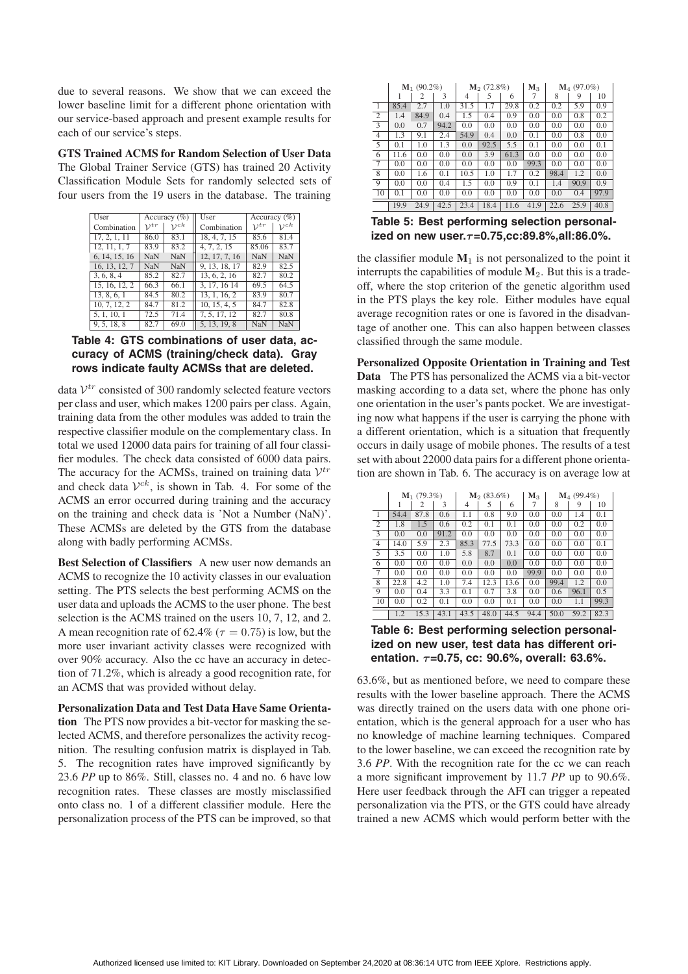due to several reasons. We show that we can exceed the lower baseline limit for a different phone orientation with our service-based approach and present example results for each of our service's steps.

**GTS Trained ACMS for Random Selection of User Data** The Global Trainer Service (GTS) has trained 20 Activity Classification Module Sets for randomly selected sets of four users from the 19 users in the database. The training

| User          | Accuracy $(\%)$ |                    | User          | Accuracy $(\%)$ |                    |
|---------------|-----------------|--------------------|---------------|-----------------|--------------------|
| Combination   | $v^{tr}$        | $\mathcal{V}^{ck}$ | Combination   | $V^{tr}$        | $\mathcal{V}^{ck}$ |
| 17, 2, 1, 11  | 86.0            | 83.1               | 18, 4, 7, 15  | 85.6            | 81.4               |
| 12, 11, 1, 7  | 83.9            | 83.2               | 4, 7, 2, 15   | 85.06           | 83.7               |
| 6, 14, 15, 16 | NaN             | <b>NaN</b>         | 12, 17, 7, 16 | <b>NaN</b>      | <b>NaN</b>         |
| 16, 13, 12, 7 | <b>NaN</b>      | <b>NaN</b>         | 9, 13, 18, 17 | 82.9            | 82.5               |
| 3, 6, 8, 4    | 85.2            | 82.7               | 13, 6, 2, 16  | 82.7            | 80.2               |
| 15, 16, 12, 2 | 66.3            | 66.1               | 3, 17, 16 14  | 69.5            | 64.5               |
| 13, 8, 6, 1   | 84.5            | 80.2               | 13, 1, 16, 2  | 83.9            | 80.7               |
| 10, 7, 12, 2  | 84.7            | 81.2               | 10, 15, 4, 5  | 84.7            | 82.8               |
| 5, 1, 10, 1   | 72.5            | 71.4               | 7, 5, 17, 12  | 82.7            | 80.8               |
| 9, 5, 18, 8   | 82.7            | 69.0               | 5, 13, 19, 8  | <b>NaN</b>      | <b>NaN</b>         |

**Table 4: GTS combinations of user data, accuracy of ACMS (training/check data). Gray rows indicate faulty ACMSs that are deleted.**

data  $V^{tr}$  consisted of 300 randomly selected feature vectors per class and user, which makes 1200 pairs per class. Again, training data from the other modules was added to train the respective classifier module on the complementary class. In total we used 12000 data pairs for training of all four classifier modules. The check data consisted of 6000 data pairs. The accuracy for the ACMSs, trained on training data  $\mathcal{V}^{tr}$ and check data  $V^{ck}$ , is shown in Tab. 4. For some of the ACMS an error occurred during training and the accuracy on the training and check data is 'Not a Number (NaN)'. These ACMSs are deleted by the GTS from the database along with badly performing ACMSs.

**Best Selection of Classifiers** A new user now demands an ACMS to recognize the 10 activity classes in our evaluation setting. The PTS selects the best performing ACMS on the user data and uploads the ACMS to the user phone. The best selection is the ACMS trained on the users 10, 7, 12, and 2. A mean recognition rate of 62.4% ( $\tau = 0.75$ ) is low, but the more user invariant activity classes were recognized with over 90% accuracy. Also the cc have an accuracy in detection of 71.2%, which is already a good recognition rate, for an ACMS that was provided without delay.

**Personalization Data and Test Data Have Same Orientation** The PTS now provides a bit-vector for masking the selected ACMS, and therefore personalizes the activity recognition. The resulting confusion matrix is displayed in Tab. 5. The recognition rates have improved significantly by 23.6 *PP* up to 86%. Still, classes no. 4 and no. 6 have low recognition rates. These classes are mostly misclassified onto class no. 1 of a different classifier module. Here the personalization process of the PTS can be improved, so that

|                | $M_1$ (90.2%) |      | $M_2$ (72.8%) |      |      | $\mathbf{M}_3$ |      | $M_4$ (97.0%) |      |      |
|----------------|---------------|------|---------------|------|------|----------------|------|---------------|------|------|
|                |               | 2    | 3             | 4    | 5    | 6              | 7    | 8             | 9    | 10   |
| $\overline{1}$ | 85.4          | 2.7  | 1.0           | 31.5 | 1.7  | 29.8           | 0.2  | 0.2           | 5.9  | 0.9  |
| $\overline{2}$ | 1.4           | 84.9 | 0.4           | 1.5  | 0.4  | 0.9            | 0.0  | 0.0           | 0.8  | 0.2  |
| 3              | 0.0           | 0.7  | 94.2          | 0.0  | 0.0  | 0.0            | 0.0  | 0.0           | 0.0  | 0.0  |
| $\overline{4}$ | 1.3           | 9.1  | 2.4           | 54.9 | 0.4  | 0.0            | 0.1  | 0.0           | 0.8  | 0.0  |
| $\overline{5}$ | 0.1           | 1.0  | 1.3           | 0.0  | 92.5 | 5.5            | 0.1  | 0.0           | 0.0  | 0.1  |
| 6              | 11.6          | 0.0  | 0.0           | 0.0  | 3.9  | 61.3           | 0.0  | 0.0           | 0.0  | 0.0  |
| $\overline{7}$ | 0.0           | 0.0  | 0.0           | 0.0  | 0.0  | 0.0            | 99.3 | 0.0           | 0.0  | 0.0  |
| 8              | 0.0           | 1.6  | 0.1           | 10.5 | 1.0  | 1.7            | 0.2  | 98.4          | 1.2  | 0.0  |
| 9              | 0.0           | 0.0  | 0.4           | 1.5  | 0.0  | 0.9            | 0.1  | 1.4           | 90.9 | 0.9  |
| 10             | 0.1           | 0.0  | 0.0           | 0.0  | 0.0  | 0.0            | 0.0  | 0.0           | 0.4  | 97.9 |
|                | 19.9          | 24.9 | 42.5          | 23.4 | 18.4 | 11.6           | 41.9 | 22.6          | 25.9 | 40.8 |

**Table 5: Best performing selection personalized on new user.=0.75,cc:89.8%,all:86.0%.**

the classifier module  $M_1$  is not personalized to the point it interrupts the capabilities of module  $M_2$ . But this is a tradeoff, where the stop criterion of the genetic algorithm used in the PTS plays the key role. Either modules have equal average recognition rates or one is favored in the disadvantage of another one. This can also happen between classes classified through the same module.

**Personalized Opposite Orientation in Training and Test Data** The PTS has personalized the ACMS via a bit-vector masking according to a data set, where the phone has only one orientation in the user's pants pocket. We are investigating now what happens if the user is carrying the phone with a different orientation, which is a situation that frequently occurs in daily usage of mobile phones. The results of a test set with about 22000 data pairs for a different phone orientation are shown in Tab. 6. The accuracy is on average low at

|                 | $M_1$ (79.3%) |      | $M_2$ (83.6%) |      |      | $\rm M_{3}$ |      | $M_4(99.4\%)$ |      |      |
|-----------------|---------------|------|---------------|------|------|-------------|------|---------------|------|------|
|                 |               | 2    | 3             | 4    | 5    | 6           | 7    | 8             | 9    | 10   |
|                 | 54.4          | 87.8 | 0.6           | 1.1  | 0.8  | 9.0         | 0.0  | 0.0           | 1.4  | 0.1  |
| $\overline{2}$  | 1.8           | 1.5  | 0.6           | 0.2  | 0.1  | 0.1         | 0.0  | 0.0           | 0.2  | 0.0  |
| 3               | 0.0           | 0.0  | 91.2          | 0.0  | 0.0  | 0.0         | 0.0  | 0.0           | 0.0  | 0.0  |
| $\overline{4}$  | 14.0          | 5.9  | 2.3           | 85.3 | 77.5 | 73.3        | 0.0  | 0.0           | 0.0  | 0.1  |
| 5               | 3.5           | 0.0  | 1.0           | 5.8  | 8.7  | 0.1         | 0.0  | 0.0           | 0.0  | 0.0  |
| 6               | 0.0           | 0.0  | 0.0           | 0.0  | 0.0  | 0.0         | 0.0  | 0.0           | 0.0  | 0.0  |
| $7\phantom{.0}$ | 0.0           | 0.0  | 0.0           | 0.0  | 0.0  | 0.0         | 99.9 | 0.0           | 0.0  | 0.0  |
| $\overline{8}$  | 22.8          | 4.2  | 1.0           | 7.4  | 12.3 | 13.6        | 0.0  | 99.4          | 1.2  | 0.0  |
| $\overline{9}$  | 0.0           | 0.4  | 3.3           | 0.1  | 0.7  | 3.8         | 0.0  | 0.6           | 96.1 | 0.5  |
| 10              | 0.0           | 0.2  | 0.1           | 0.0  | 0.0  | 0.1         | 0.0  | 0.0           | 1.1  | 99.3 |
|                 | 1.2           | 15.3 | 43.1          | 43.5 | 48.0 | 44.5        | 94.4 | 50.0          | 59.2 | 82.3 |

**Table 6: Best performing selection personalized on new user, test data has different orientation. =0.75, cc: 90.6%, overall: 63.6%.**

63.6%, but as mentioned before, we need to compare these results with the lower baseline approach. There the ACMS was directly trained on the users data with one phone orientation, which is the general approach for a user who has no knowledge of machine learning techniques. Compared to the lower baseline, we can exceed the recognition rate by 3.6 *PP*. With the recognition rate for the cc we can reach a more significant improvement by 11.7 *PP* up to 90.6%. Here user feedback through the AFI can trigger a repeated personalization via the PTS, or the GTS could have already trained a new ACMS which would perform better with the